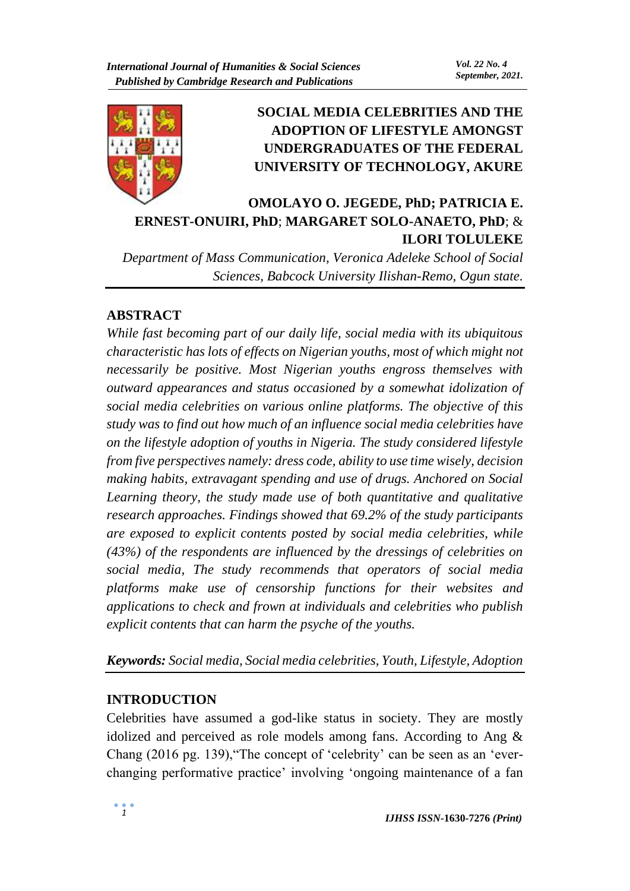

# **SOCIAL MEDIA CELEBRITIES AND THE ADOPTION OF LIFESTYLE AMONGST UNDERGRADUATES OF THE FEDERAL UNIVERSITY OF TECHNOLOGY, AKURE**

# **OMOLAYO O. JEGEDE, PhD; PATRICIA E. ERNEST-ONUIRI, PhD**; **MARGARET SOLO-ANAETO, PhD**; & **ILORI TOLULEKE**

*Department of Mass Communication, Veronica Adeleke School of Social Sciences, Babcock University Ilishan-Remo, Ogun state.* 

## **ABSTRACT**

*While fast becoming part of our daily life, social media with its ubiquitous characteristic has lots of effects on Nigerian youths, most of which might not necessarily be positive. Most Nigerian youths engross themselves with outward appearances and status occasioned by a somewhat idolization of social media celebrities on various online platforms. The objective of this study was to find out how much of an influence social media celebrities have on the lifestyle adoption of youths in Nigeria. The study considered lifestyle from five perspectives namely: dress code, ability to use time wisely, decision making habits, extravagant spending and use of drugs. Anchored on Social Learning theory, the study made use of both quantitative and qualitative research approaches. Findings showed that 69.2% of the study participants are exposed to explicit contents posted by social media celebrities, while (43%) of the respondents are influenced by the dressings of celebrities on social media, The study recommends that operators of social media platforms make use of censorship functions for their websites and applications to check and frown at individuals and celebrities who publish explicit contents that can harm the psyche of the youths.*

*Keywords: Social media, Social media celebrities, Youth, Lifestyle, Adoption*

# **INTRODUCTION**

Celebrities have assumed a god-like status in society. They are mostly idolized and perceived as role models among fans. According to Ang & Chang (2016 pg. 139),"The concept of 'celebrity' can be seen as an 'everchanging performative practice' involving 'ongoing maintenance of a fan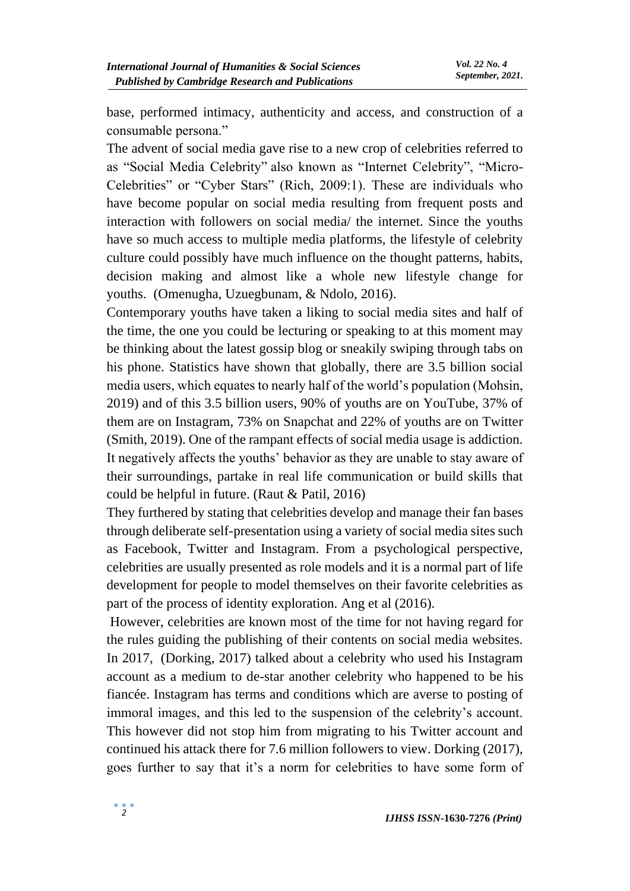base, performed intimacy, authenticity and access, and construction of a consumable persona."

The advent of social media gave rise to a new crop of celebrities referred to as "Social Media Celebrity" also known as "Internet Celebrity", "Micro-Celebrities" or "Cyber Stars" (Rich, 2009:1). These are individuals who have become popular on social media resulting from frequent posts and interaction with followers on social media/ the internet. Since the youths have so much access to multiple media platforms, the lifestyle of celebrity culture could possibly have much influence on the thought patterns, habits, decision making and almost like a whole new lifestyle change for youths. (Omenugha, Uzuegbunam, & Ndolo, 2016).

Contemporary youths have taken a liking to social media sites and half of the time, the one you could be lecturing or speaking to at this moment may be thinking about the latest gossip blog or sneakily swiping through tabs on his phone. Statistics have shown that globally, there are 3.5 billion social media users, which equates to nearly half of the world's population (Mohsin, 2019) and of this 3.5 billion users, 90% of youths are on YouTube, 37% of them are on Instagram, 73% on Snapchat and 22% of youths are on Twitter (Smith, 2019). One of the rampant effects of social media usage is addiction. It negatively affects the youths' behavior as they are unable to stay aware of their surroundings, partake in real life communication or build skills that could be helpful in future. (Raut & Patil, 2016)

They furthered by stating that celebrities develop and manage their fan bases through deliberate self-presentation using a variety of social media sites such as Facebook, Twitter and Instagram. From a psychological perspective, celebrities are usually presented as role models and it is a normal part of life development for people to model themselves on their favorite celebrities as part of the process of identity exploration. Ang et al (2016).

However, celebrities are known most of the time for not having regard for the rules guiding the publishing of their contents on social media websites. In 2017, (Dorking, 2017) talked about a celebrity who used his Instagram account as a medium to de-star another celebrity who happened to be his fiancée. Instagram has terms and conditions which are averse to posting of immoral images, and this led to the suspension of the celebrity's account. This however did not stop him from migrating to his Twitter account and continued his attack there for 7.6 million followers to view. Dorking (2017), goes further to say that it's a norm for celebrities to have some form of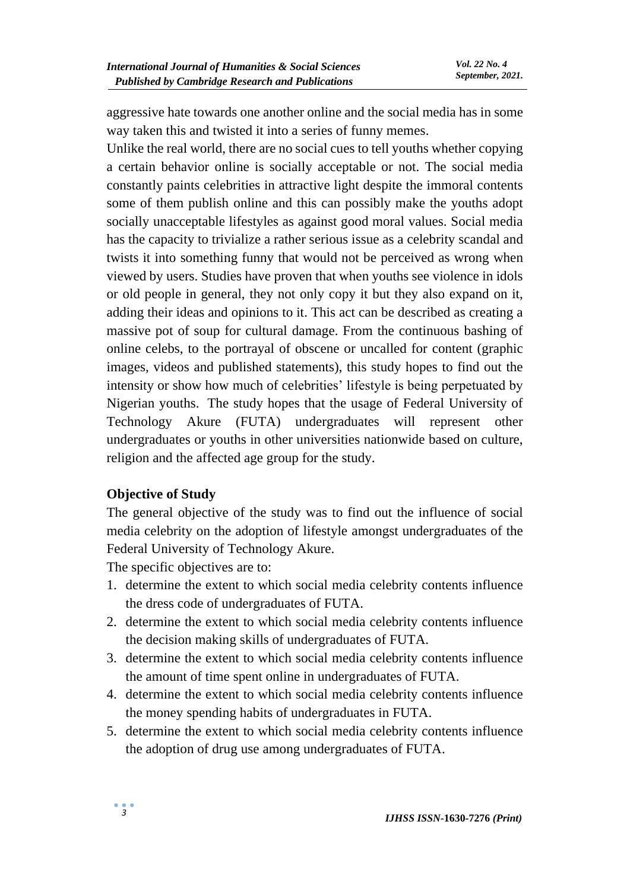aggressive hate towards one another online and the social media has in some way taken this and twisted it into a series of funny memes.

Unlike the real world, there are no social cues to tell youths whether copying a certain behavior online is socially acceptable or not. The social media constantly paints celebrities in attractive light despite the immoral contents some of them publish online and this can possibly make the youths adopt socially unacceptable lifestyles as against good moral values. Social media has the capacity to trivialize a rather serious issue as a celebrity scandal and twists it into something funny that would not be perceived as wrong when viewed by users. Studies have proven that when youths see violence in idols or old people in general, they not only copy it but they also expand on it, adding their ideas and opinions to it. This act can be described as creating a massive pot of soup for cultural damage. From the continuous bashing of online celebs, to the portrayal of obscene or uncalled for content (graphic images, videos and published statements), this study hopes to find out the intensity or show how much of celebrities' lifestyle is being perpetuated by Nigerian youths. The study hopes that the usage of Federal University of Technology Akure (FUTA) undergraduates will represent other undergraduates or youths in other universities nationwide based on culture, religion and the affected age group for the study.

#### **Objective of Study**

The general objective of the study was to find out the influence of social media celebrity on the adoption of lifestyle amongst undergraduates of the Federal University of Technology Akure.

The specific objectives are to:

- 1. determine the extent to which social media celebrity contents influence the dress code of undergraduates of FUTA.
- 2. determine the extent to which social media celebrity contents influence the decision making skills of undergraduates of FUTA.
- 3. determine the extent to which social media celebrity contents influence the amount of time spent online in undergraduates of FUTA.
- 4. determine the extent to which social media celebrity contents influence the money spending habits of undergraduates in FUTA.
- 5. determine the extent to which social media celebrity contents influence the adoption of drug use among undergraduates of FUTA.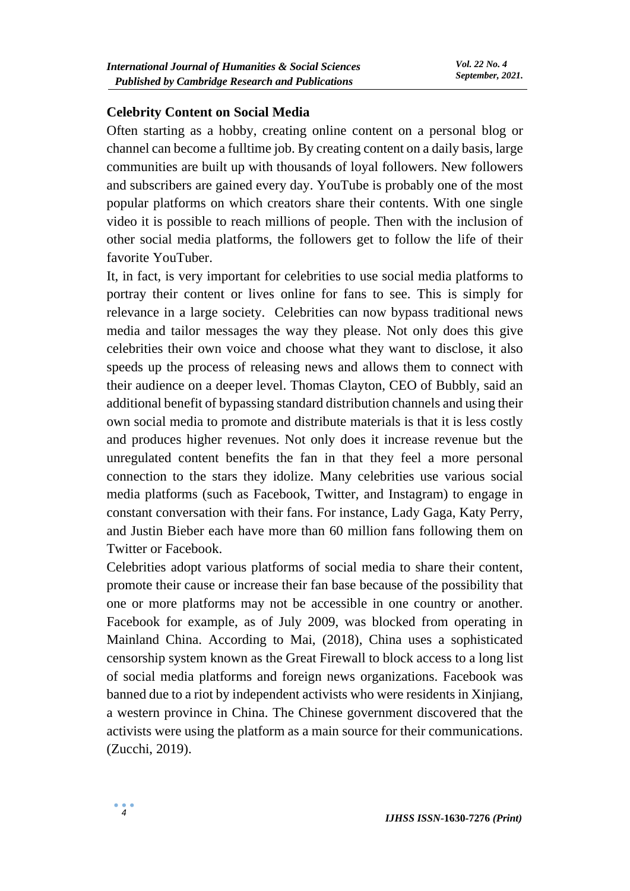#### **Celebrity Content on Social Media**

Often starting as a hobby, creating online content on a personal blog or channel can become a fulltime job. By creating content on a daily basis, large communities are built up with thousands of loyal followers. New followers and subscribers are gained every day. YouTube is probably one of the most popular platforms on which creators share their contents. With one single video it is possible to reach millions of people. Then with the inclusion of other social media platforms, the followers get to follow the life of their favorite YouTuber.

It, in fact, is very important for celebrities to use social media platforms to portray their content or lives online for fans to see. This is simply for relevance in a large society. Celebrities can now bypass traditional news media and tailor messages the way they please. Not only does this give celebrities their own voice and choose what they want to disclose, it also speeds up the process of releasing news and allows them to connect with their audience on a deeper level. Thomas Clayton, CEO of Bubbly, said an additional benefit of bypassing standard distribution channels and using their own social media to promote and distribute materials is that it is less costly and produces higher revenues. Not only does it increase revenue but the unregulated content benefits the fan in that they feel a more personal connection to the stars they idolize. Many celebrities use various social media platforms (such as Facebook, Twitter, and Instagram) to engage in constant conversation with their fans. For instance, Lady Gaga, Katy Perry, and Justin Bieber each have more than 60 million fans following them on Twitter or Facebook.

Celebrities adopt various platforms of social media to share their content, promote their cause or increase their fan base because of the possibility that one or more platforms may not be accessible in one country or another. Facebook for example, as of July 2009, was blocked from operating in Mainland China. According to Mai, (2018), China uses a sophisticated censorship system known as the Great Firewall to block access to a long list of social media platforms and foreign news organizations. Facebook was banned due to a riot by independent activists who were residents in Xinjiang, a western province in China. The Chinese government discovered that the activists were using the platform as a main source for their communications. (Zucchi, 2019).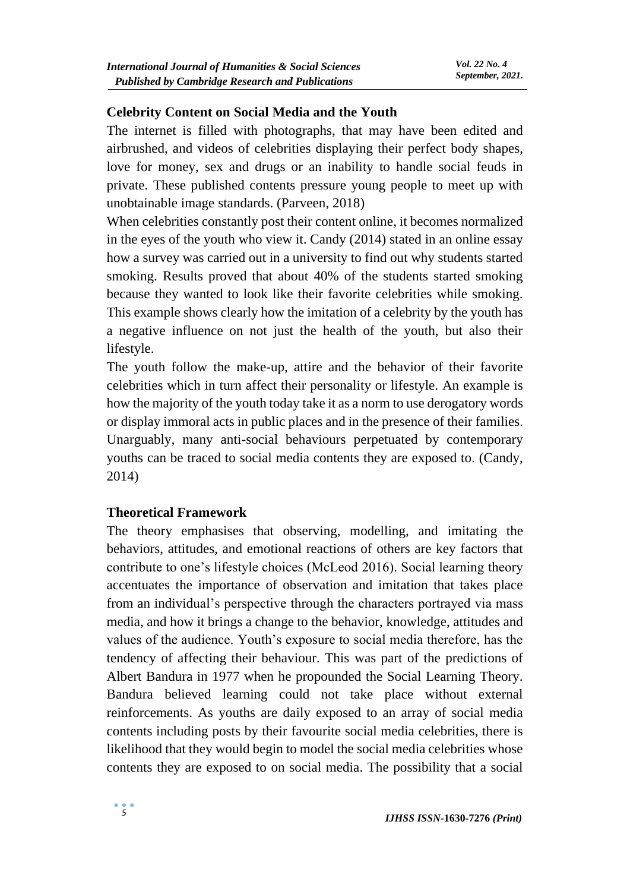#### **Celebrity Content on Social Media and the Youth**

The internet is filled with photographs, that may have been edited and airbrushed, and videos of celebrities displaying their perfect body shapes, love for money, sex and drugs or an inability to handle social feuds in private. These published contents pressure young people to meet up with unobtainable image standards. (Parveen, 2018)

When celebrities constantly post their content online, it becomes normalized in the eyes of the youth who view it. Candy (2014) stated in an online essay how a survey was carried out in a university to find out why students started smoking. Results proved that about 40% of the students started smoking because they wanted to look like their favorite celebrities while smoking. This example shows clearly how the imitation of a celebrity by the youth has a negative influence on not just the health of the youth, but also their lifestyle.

The youth follow the make-up, attire and the behavior of their favorite celebrities which in turn affect their personality or lifestyle. An example is how the majority of the youth today take it as a norm to use derogatory words or display immoral acts in public places and in the presence of their families. Unarguably, many anti-social behaviours perpetuated by contemporary youths can be traced to social media contents they are exposed to. (Candy, 2014)

#### **Theoretical Framework**

The theory emphasises that observing, modelling, and imitating the behaviors, attitudes, and emotional reactions of others are key factors that contribute to one's lifestyle choices (McLeod 2016). Social learning theory accentuates the importance of observation and imitation that takes place from an individual's perspective through the characters portrayed via mass media, and how it brings a change to the behavior, knowledge, attitudes and values of the audience. Youth's exposure to social media therefore, has the tendency of affecting their behaviour. This was part of the predictions of Albert Bandura in 1977 when he propounded the Social Learning Theory. Bandura believed learning could not take place without external reinforcements. As youths are daily exposed to an array of social media contents including posts by their favourite social media celebrities, there is likelihood that they would begin to model the social media celebrities whose contents they are exposed to on social media. The possibility that a social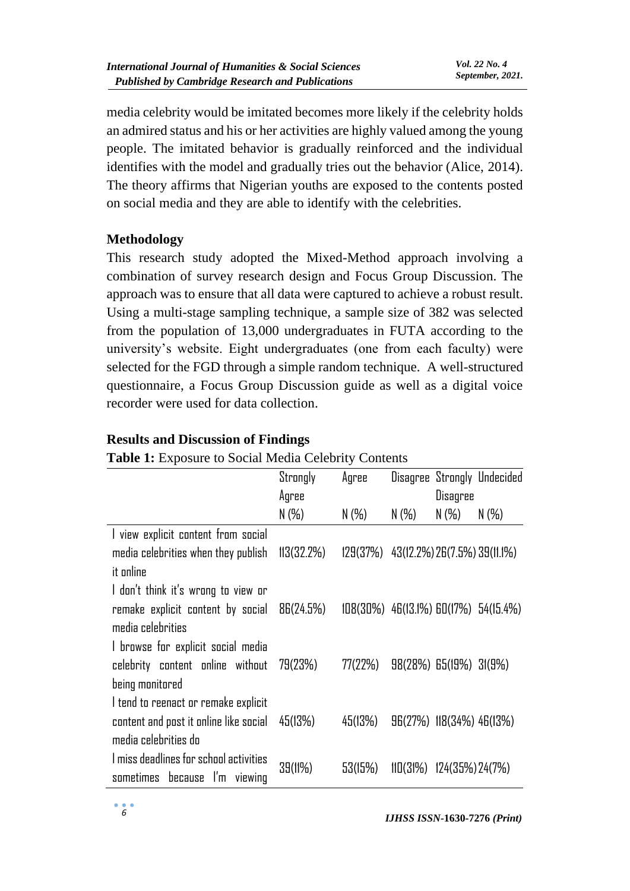media celebrity would be imitated becomes more likely if the celebrity holds an admired status and his or her activities are highly valued among the young people. The imitated behavior is gradually reinforced and the individual identifies with the model and gradually tries out the behavior (Alice, 2014). The theory affirms that Nigerian youths are exposed to the contents posted on social media and they are able to identify with the celebrities.

## **Methodology**

This research study adopted the Mixed-Method approach involving a combination of survey research design and Focus Group Discussion. The approach was to ensure that all data were captured to achieve a robust result. Using a multi-stage sampling technique, a sample size of 382 was selected from the population of 13,000 undergraduates in FUTA according to the university's website. Eight undergraduates (one from each faculty) were selected for the FGD through a simple random technique. A well-structured questionnaire, a Focus Group Discussion guide as well as a digital voice recorder were used for data collection.

| <b>Lable 1.</b> Exposure to Social Initial Celebrity Contents |            |                                               |         |                                |                                         |
|---------------------------------------------------------------|------------|-----------------------------------------------|---------|--------------------------------|-----------------------------------------|
|                                                               | Strongly   | Agree                                         |         |                                | Disagree Strongly Undecided             |
|                                                               | Agree      |                                               |         | Disagree                       |                                         |
|                                                               | $N(\%)$    | $N(\%)$                                       | $N(\%)$ | $N(\%)$                        | $N(\%)$                                 |
| I view explicit content from social                           |            |                                               |         |                                |                                         |
| media celebrities when they publish                           | 113(32.2%) | $129(37%)$ $43(12.2%)$ $26(7.5%)$ $39(11.1%)$ |         |                                |                                         |
| it online                                                     |            |                                               |         |                                |                                         |
| I don't think it's wrong to view or                           |            |                                               |         |                                |                                         |
| remake explicit content by social                             | 86(24.5%)  |                                               |         |                                | $108(30\%)$ 46(13.1%) 60(17%) 54(15.4%) |
| media celebrities                                             |            |                                               |         |                                |                                         |
| I browse for explicit social media                            |            |                                               |         |                                |                                         |
| celebrity content online without                              | 79(23%)    | 77(22%)                                       |         | 98(28%) 65(19%) 31(9%)         |                                         |
| being monitored                                               |            |                                               |         |                                |                                         |
| I tend to reenact or remake explicit                          |            |                                               |         |                                |                                         |
| content and post it online like social                        | 45(13%)    | 45(13%)                                       |         | 96(27%) 118(34%) 46(13%)       |                                         |
| media celebrities do                                          |            |                                               |         |                                |                                         |
| I miss deadlines for school activities                        | 39(11%)    | 53(15%)                                       |         | $11D(31%)$ $124(35%)$ $24(7%)$ |                                         |
| sometimes because I'm viewing                                 |            |                                               |         |                                |                                         |

#### **Results and Discussion of Findings**

# **Table 1:** Exposure to Social Media Celebrity Contents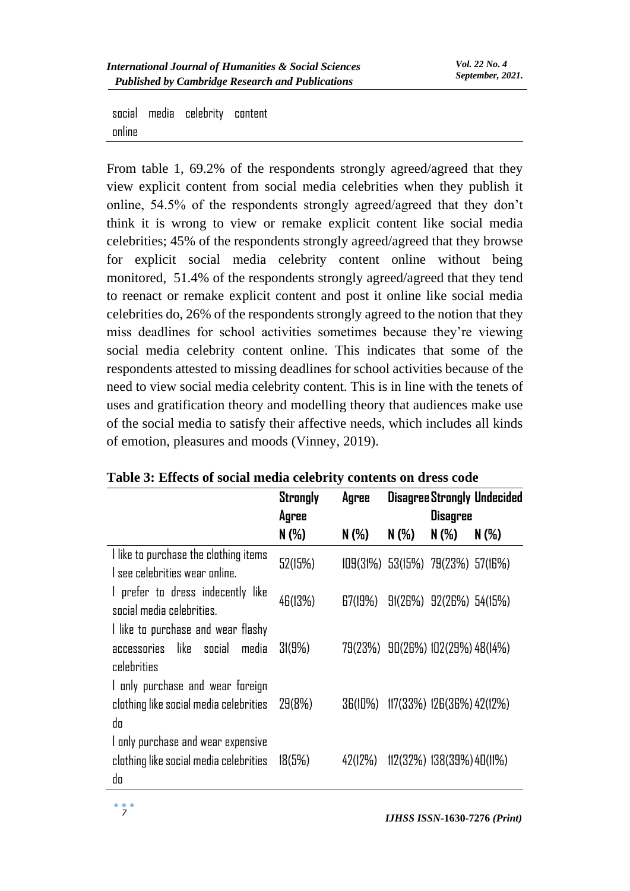social media celebrity content online

From table 1, 69.2% of the respondents strongly agreed/agreed that they view explicit content from social media celebrities when they publish it online, 54.5% of the respondents strongly agreed/agreed that they don't think it is wrong to view or remake explicit content like social media celebrities; 45% of the respondents strongly agreed/agreed that they browse for explicit social media celebrity content online without being monitored, 51.4% of the respondents strongly agreed/agreed that they tend to reenact or remake explicit content and post it online like social media celebrities do, 26% of the respondents strongly agreed to the notion that they miss deadlines for school activities sometimes because they're viewing social media celebrity content online. This indicates that some of the respondents attested to missing deadlines for school activities because of the need to view social media celebrity content. This is in line with the tenets of uses and gratification theory and modelling theory that audiences make use of the social media to satisfy their affective needs, which includes all kinds of emotion, pleasures and moods (Vinney, 2019).

|                                        | <b>Strongly</b> | Agree   |                                                                                                                                                                                                                                 |         |         |
|----------------------------------------|-----------------|---------|---------------------------------------------------------------------------------------------------------------------------------------------------------------------------------------------------------------------------------|---------|---------|
|                                        | Agree           |         |                                                                                                                                                                                                                                 |         |         |
|                                        | $N(\%)$         | $N(\%)$ | $N(\%)$                                                                                                                                                                                                                         | $N(\%)$ | $N(\%)$ |
| I like to purchase the clothing items  | 52(15%)         |         |                                                                                                                                                                                                                                 |         |         |
| I see celebrities wear online.         |                 |         |                                                                                                                                                                                                                                 |         |         |
| I prefer to dress indecently like      | 46(13%)         | 67(19%) |                                                                                                                                                                                                                                 |         |         |
| social media celebrities.              |                 |         | <b>Disagree Strongly Undecided</b><br><b>Disagree</b><br>$109(31\%)$ 53(15%) 79(23%) 57(16%)<br>91(26%) 92(26%) 54(15%)<br>79(23%) 90(26%) 102(29%) 48(14%)<br>$117(33\%) 126(36\%) 42(12\%)$<br>$112(32\%) 138(39\%) 40(11\%)$ |         |         |
| I like to purchase and wear flashy     |                 |         |                                                                                                                                                                                                                                 |         |         |
| accessories like social media          | 3(9%)           |         |                                                                                                                                                                                                                                 |         |         |
| celebrities                            |                 |         |                                                                                                                                                                                                                                 |         |         |
| I only purchase and wear foreign       |                 |         |                                                                                                                                                                                                                                 |         |         |
| clothing like social media celebrities | 29(8%)          | 36(10%) |                                                                                                                                                                                                                                 |         |         |
| da                                     |                 |         |                                                                                                                                                                                                                                 |         |         |
| I only purchase and wear expensive     |                 |         |                                                                                                                                                                                                                                 |         |         |
| clothing like social media celebrities | 18(5%)          | 42(12%) |                                                                                                                                                                                                                                 |         |         |
| do                                     |                 |         |                                                                                                                                                                                                                                 |         |         |

#### **Table 3: Effects of social media celebrity contents on dress code**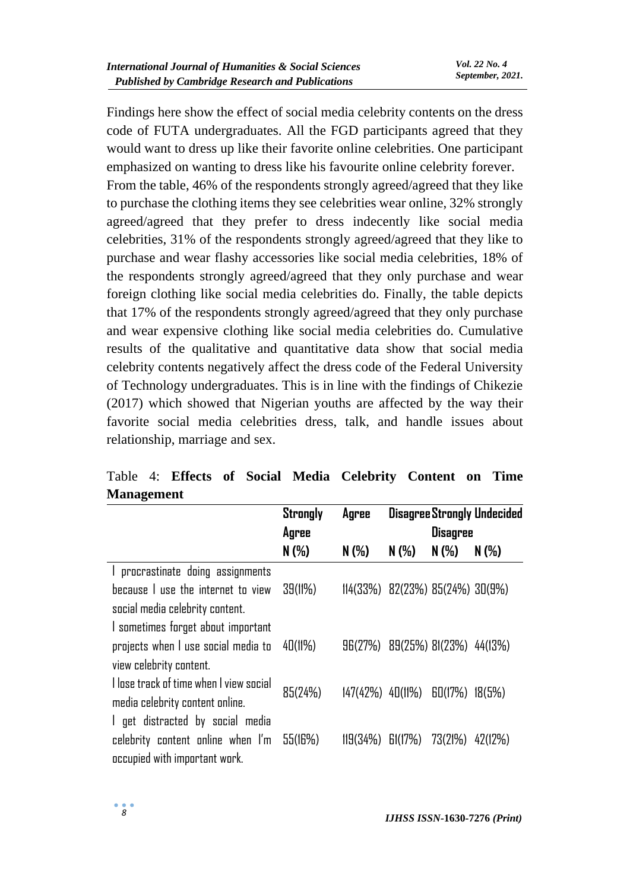Findings here show the effect of social media celebrity contents on the dress code of FUTA undergraduates. All the FGD participants agreed that they would want to dress up like their favorite online celebrities. One participant emphasized on wanting to dress like his favourite online celebrity forever. From the table, 46% of the respondents strongly agreed/agreed that they like to purchase the clothing items they see celebrities wear online, 32% strongly agreed/agreed that they prefer to dress indecently like social media celebrities, 31% of the respondents strongly agreed/agreed that they like to purchase and wear flashy accessories like social media celebrities, 18% of the respondents strongly agreed/agreed that they only purchase and wear foreign clothing like social media celebrities do. Finally, the table depicts that 17% of the respondents strongly agreed/agreed that they only purchase and wear expensive clothing like social media celebrities do. Cumulative results of the qualitative and quantitative data show that social media celebrity contents negatively affect the dress code of the Federal University of Technology undergraduates. This is in line with the findings of Chikezie (2017) which showed that Nigerian youths are affected by the way their favorite social media celebrities dress, talk, and handle issues about relationship, marriage and sex.

| манагенісін                                         |                 |                      |                                         |                 |                             |
|-----------------------------------------------------|-----------------|----------------------|-----------------------------------------|-----------------|-----------------------------|
|                                                     | <b>Strongly</b> | Agree                |                                         |                 | Disagree Strongly Undecided |
|                                                     | Agree           |                      |                                         | <b>Disagree</b> |                             |
|                                                     | $N(\%)$         | $N(\%)$              | $N(\%)$                                 | $N(\%)$         | $N(\%)$                     |
| procrastinate doing assignments<br>$\mathbf{L}$     |                 |                      |                                         |                 |                             |
| because I use the internet to view                  | 39(11%)         |                      | $114(33\%)$ 82(23%) 85(24%) 30(9%)      |                 |                             |
| social media celebrity content.                     |                 |                      |                                         |                 |                             |
| I sometimes forget about important                  |                 |                      |                                         |                 |                             |
| projects when $\vert$ use social media to $40(11%)$ |                 |                      | $96(27%)$ $89(25%)$ $81(23%)$ $44(13%)$ |                 |                             |
| view celebrity content.                             |                 |                      |                                         |                 |                             |
| I lose track of time when I view social             |                 |                      |                                         |                 |                             |
| media celebrity content online.                     | 85(24%)         | $147(42%)$ $40(11%)$ |                                         | 60(17%)         | 18(5%)                      |
| I get distracted by social media                    |                 |                      |                                         |                 |                             |
| celebrity content online when I'm                   | 55(16%)         | 119(34%)             | $\mathsf{fil}(\mathsf{17\%})$           | 73(21%)         | 42(12%)                     |
| occupied with important work.                       |                 |                      |                                         |                 |                             |

# Table 4: **Effects of Social Media Celebrity Content on Time Management**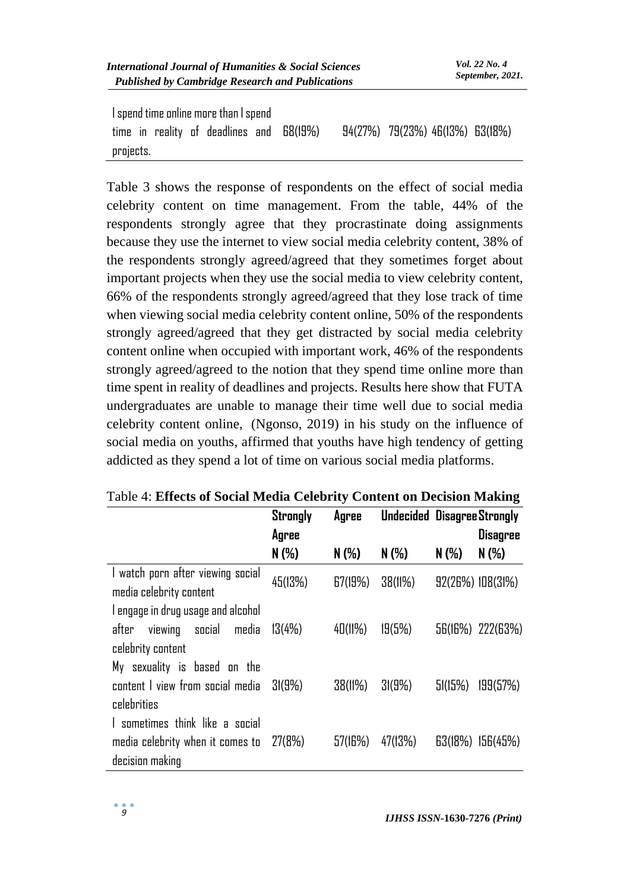| I spend time online more than I spend |  |  |  |                                          |  |  |  |                                   |  |  |
|---------------------------------------|--|--|--|------------------------------------------|--|--|--|-----------------------------------|--|--|
|                                       |  |  |  | time in reality of deadlines and 68(19%) |  |  |  | $94(27%)$ 79(23%) 46(13%) 63(18%) |  |  |
| projects.                             |  |  |  |                                          |  |  |  |                                   |  |  |

Table 3 shows the response of respondents on the effect of social media celebrity content on time management. From the table, 44% of the respondents strongly agree that they procrastinate doing assignments because they use the internet to view social media celebrity content, 38% of the respondents strongly agreed/agreed that they sometimes forget about important projects when they use the social media to view celebrity content, 66% of the respondents strongly agreed/agreed that they lose track of time when viewing social media celebrity content online, 50% of the respondents strongly agreed/agreed that they get distracted by social media celebrity content online when occupied with important work, 46% of the respondents strongly agreed/agreed to the notion that they spend time online more than time spent in reality of deadlines and projects. Results here show that FUTA undergraduates are unable to manage their time well due to social media celebrity content online, (Ngonso, 2019) in his study on the influence of social media on youths, affirmed that youths have high tendency of getting addicted as they spend a lot of time on various social media platforms.

|                                    | <b>Strongly</b> | Agree   |         |         | <b>Undecided Disagree Strongly</b> |  |
|------------------------------------|-----------------|---------|---------|---------|------------------------------------|--|
|                                    | Agree           |         |         |         | Disagree                           |  |
|                                    | $N(\%)$         | $N(\%)$ | $N(\%)$ | $N(\%)$ | $N(\%)$                            |  |
| I watch porn after viewing social  | 45(13%)         | 67(19%) | 38(11%) |         | 92(26%) 108(31%)                   |  |
| media celebrity content            |                 |         |         |         |                                    |  |
| I engage in drug usage and alcohol |                 |         |         |         |                                    |  |
| viewing social<br>media<br>after   | 13(4%)          | 40(11%) | 19(5%)  |         | 56(16%) 222(63%)                   |  |
| celebrity content                  |                 |         |         |         |                                    |  |
| My sexuality is based on the       |                 |         |         |         |                                    |  |
| content I view from social media   | 31(9%)          | 38(11%) | 3(9%)   | 51(15%) | 199(57%)                           |  |
| celebrities                        |                 |         |         |         |                                    |  |
| I sometimes think like a social    |                 |         |         |         |                                    |  |
| media celebrity when it comes to   | 27(8%)          | 57(16%) | 47(13%) |         | 63(18%) 156(45%)                   |  |
| decision making                    |                 |         |         |         |                                    |  |

#### Table 4: **Effects of Social Media Celebrity Content on Decision Making**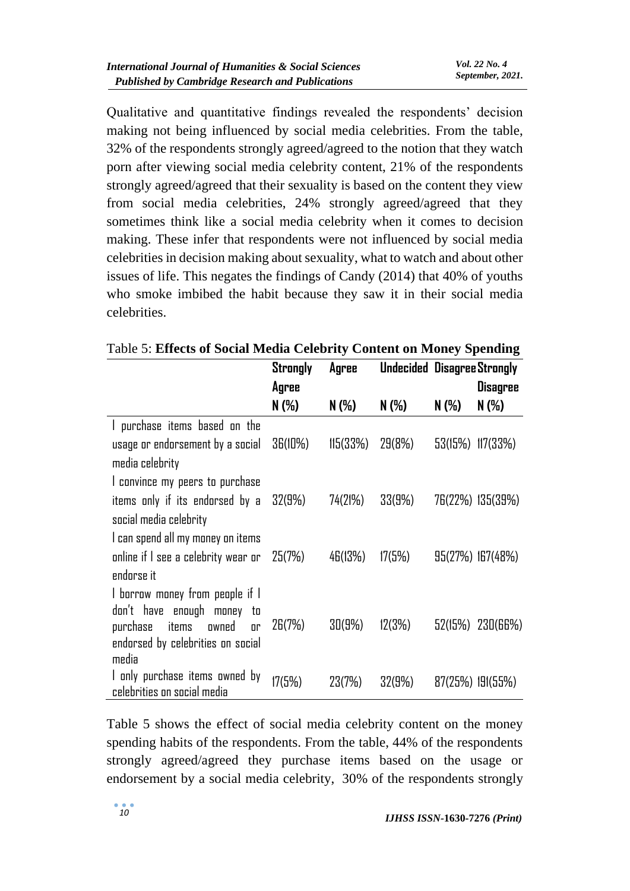Qualitative and quantitative findings revealed the respondents' decision making not being influenced by social media celebrities. From the table, 32% of the respondents strongly agreed/agreed to the notion that they watch porn after viewing social media celebrity content, 21% of the respondents strongly agreed/agreed that their sexuality is based on the content they view from social media celebrities, 24% strongly agreed/agreed that they sometimes think like a social media celebrity when it comes to decision making. These infer that respondents were not influenced by social media celebrities in decision making about sexuality, what to watch and about other issues of life. This negates the findings of Candy (2014) that 40% of youths who smoke imbibed the habit because they saw it in their social media celebrities.

|                                     | Strongly | Agree    | <b>Undecided Disagree Strongly</b> |       |                      |
|-------------------------------------|----------|----------|------------------------------------|-------|----------------------|
|                                     | Agree    |          |                                    |       | Disagree             |
|                                     | N (%)    | $N(\%)$  | $N(\%)$                            | N (%) | $N(\%)$              |
| I purchase items based on the       |          |          |                                    |       |                      |
| usage or endorsement by a social    | 36(10%)  | 115(33%) | 29(8%)                             |       | 53(15%) 117(33%)     |
| media celebrity                     |          |          |                                    |       |                      |
| I convince my peers to purchase     |          |          |                                    |       |                      |
| items only if its endorsed by a     | 32(9%)   | 74(21%)  | 33(9%)                             |       | 76(22%) 135(39%)     |
| social media celebrity              |          |          |                                    |       |                      |
| I can spend all my money on items   |          |          |                                    |       |                      |
| online if I see a celebrity wear or | 25(7%)   | 46(13%)  | 17(5%)                             |       | 95(27%) 167(48%)     |
| endorse it                          |          |          |                                    |       |                      |
| I borrow money from people if I     |          |          |                                    |       |                      |
| don't have enough money<br>to       |          |          |                                    |       |                      |
| purchase<br>items<br>owned<br>۵r    | 26(7%)   | 30(9%)   | 12(3%)                             |       | $52(15%)$ $230(66%)$ |
| endorsed by celebrities on social   |          |          |                                    |       |                      |
| media                               |          |          |                                    |       |                      |
| I only purchase items owned by      | 17(5%)   | 23(7%)   | 32(9%)                             |       | $87(25%)$ 191(55%)   |
| celebrities on social media         |          |          |                                    |       |                      |

Table 5: **Effects of Social Media Celebrity Content on Money Spending**

Table 5 shows the effect of social media celebrity content on the money spending habits of the respondents. From the table, 44% of the respondents strongly agreed/agreed they purchase items based on the usage or endorsement by a social media celebrity, 30% of the respondents strongly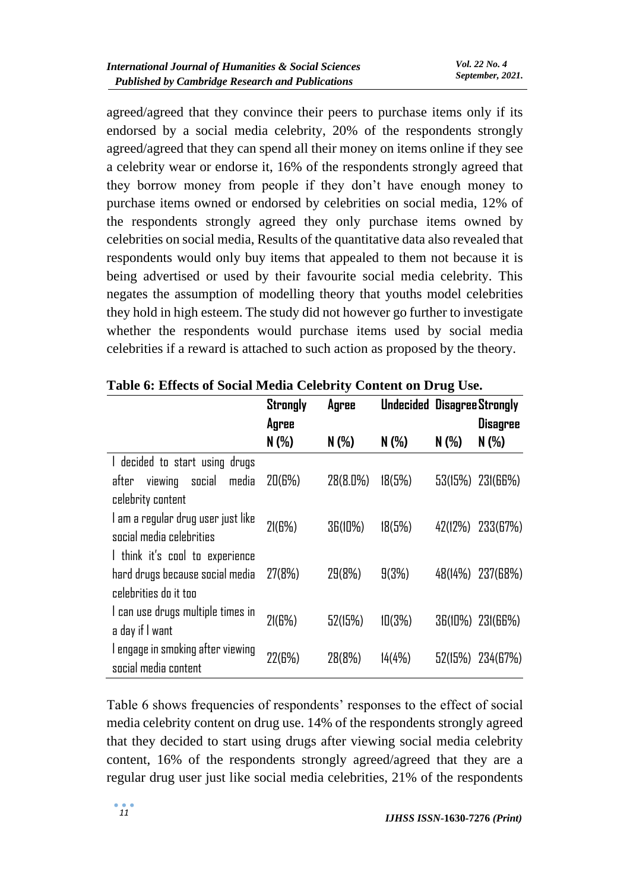agreed/agreed that they convince their peers to purchase items only if its endorsed by a social media celebrity, 20% of the respondents strongly agreed/agreed that they can spend all their money on items online if they see a celebrity wear or endorse it, 16% of the respondents strongly agreed that they borrow money from people if they don't have enough money to purchase items owned or endorsed by celebrities on social media, 12% of the respondents strongly agreed they only purchase items owned by celebrities on social media, Results of the quantitative data also revealed that respondents would only buy items that appealed to them not because it is being advertised or used by their favourite social media celebrity. This negates the assumption of modelling theory that youths model celebrities they hold in high esteem. The study did not however go further to investigate whether the respondents would purchase items used by social media celebrities if a reward is attached to such action as proposed by the theory.

|                                    | <b>Strongly</b> | Agree    |                                                                                                                              |         |                  |
|------------------------------------|-----------------|----------|------------------------------------------------------------------------------------------------------------------------------|---------|------------------|
|                                    | Agree           |          |                                                                                                                              |         | <b>Disagree</b>  |
|                                    | $N(\%)$         | $N(\%)$  | $N(\%)$                                                                                                                      | $N(\%)$ | $N(\%)$          |
| I decided to start using drugs     |                 |          |                                                                                                                              |         |                  |
| after viewing social media         | 20(6%)          | 28(8.0%) | 18(5%)                                                                                                                       |         | 53(15%) 231(66%) |
| celebrity content                  |                 |          |                                                                                                                              |         |                  |
| I am a regular drug user just like | 21(6%)          | 36(10%)  |                                                                                                                              |         |                  |
| social media celebrities           |                 |          | <b>Undecided Disagree Strongly</b><br>18(5%)<br>42(12%) 233(67%)<br>10(3%)<br>36(10%) 231(66%)<br>14(4%)<br>52(15%) 234(67%) |         |                  |
| I think it's cool to experience    |                 |          |                                                                                                                              |         |                  |
| hard drugs because social media    | 27(8%)          | 29(8%)   | 9(3%)                                                                                                                        |         | 48(14%) 237(68%) |
| celebrities do it too              |                 |          |                                                                                                                              |         |                  |
| I can use drugs multiple times in  | 21(6%)          | 52(15%)  |                                                                                                                              |         |                  |
| a day if I want                    |                 |          |                                                                                                                              |         |                  |
| I engage in smoking after viewing  | 22(6%)          | 28(8%)   |                                                                                                                              |         |                  |
| social media content               |                 |          |                                                                                                                              |         |                  |

**Table 6: Effects of Social Media Celebrity Content on Drug Use.**

Table 6 shows frequencies of respondents' responses to the effect of social media celebrity content on drug use. 14% of the respondents strongly agreed that they decided to start using drugs after viewing social media celebrity content, 16% of the respondents strongly agreed/agreed that they are a regular drug user just like social media celebrities, 21% of the respondents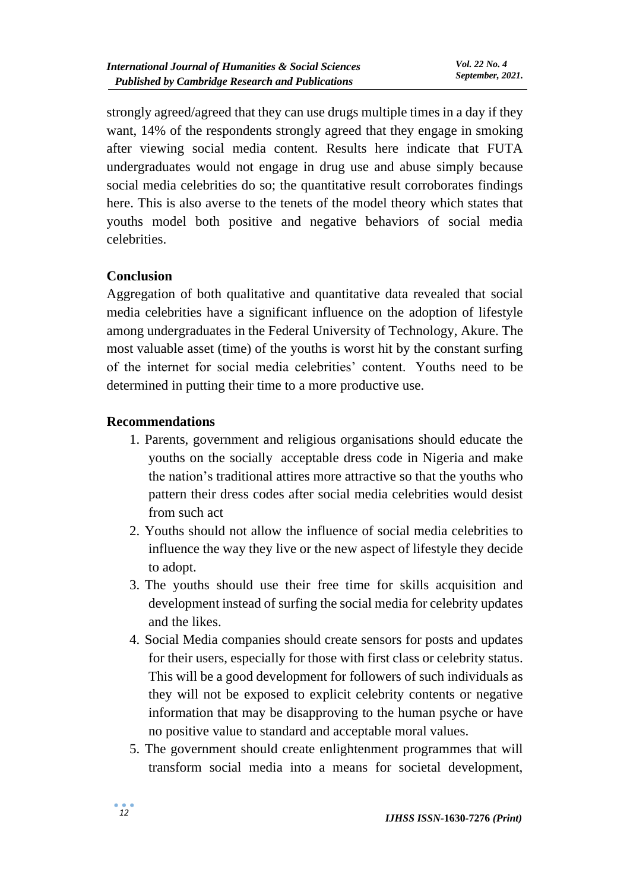strongly agreed/agreed that they can use drugs multiple times in a day if they want, 14% of the respondents strongly agreed that they engage in smoking after viewing social media content. Results here indicate that FUTA undergraduates would not engage in drug use and abuse simply because social media celebrities do so; the quantitative result corroborates findings here. This is also averse to the tenets of the model theory which states that youths model both positive and negative behaviors of social media celebrities.

## **Conclusion**

Aggregation of both qualitative and quantitative data revealed that social media celebrities have a significant influence on the adoption of lifestyle among undergraduates in the Federal University of Technology, Akure. The most valuable asset (time) of the youths is worst hit by the constant surfing of the internet for social media celebrities' content. Youths need to be determined in putting their time to a more productive use.

#### **Recommendations**

- 1. Parents, government and religious organisations should educate the youths on the socially acceptable dress code in Nigeria and make the nation's traditional attires more attractive so that the youths who pattern their dress codes after social media celebrities would desist from such act
- 2. Youths should not allow the influence of social media celebrities to influence the way they live or the new aspect of lifestyle they decide to adopt.
- 3. The youths should use their free time for skills acquisition and development instead of surfing the social media for celebrity updates and the likes.
- 4. Social Media companies should create sensors for posts and updates for their users, especially for those with first class or celebrity status. This will be a good development for followers of such individuals as they will not be exposed to explicit celebrity contents or negative information that may be disapproving to the human psyche or have no positive value to standard and acceptable moral values.
- 5. The government should create enlightenment programmes that will transform social media into a means for societal development,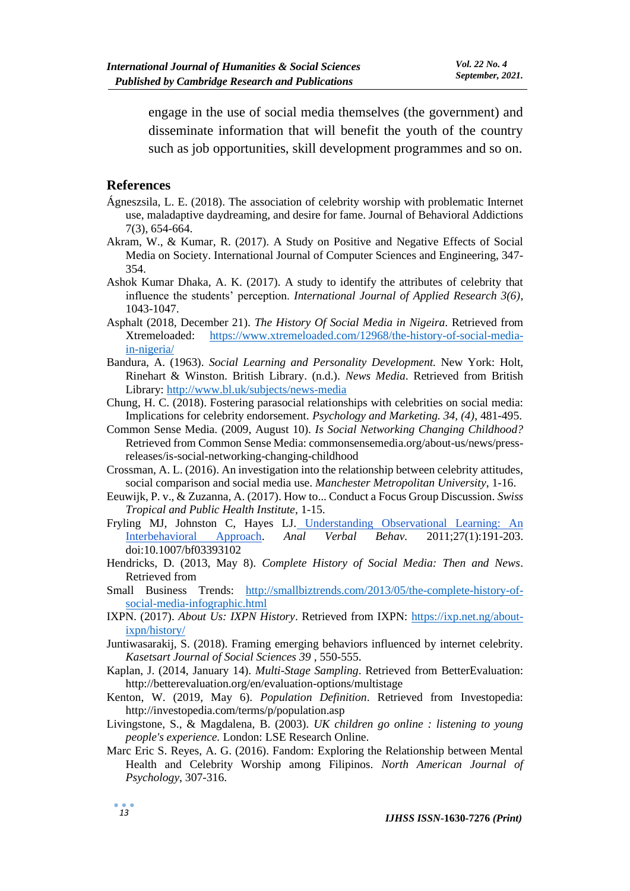engage in the use of social media themselves (the government) and disseminate information that will benefit the youth of the country such as job opportunities, skill development programmes and so on.

#### **References**

- Ágneszsila, L. E. (2018). The association of celebrity worship with problematic Internet use, maladaptive daydreaming, and desire for fame. Journal of Behavioral Addictions 7(3), 654-664.
- Akram, W., & Kumar, R. (2017). A Study on Positive and Negative Effects of Social Media on Society. International Journal of Computer Sciences and Engineering, 347- 354.
- Ashok Kumar Dhaka, A. K. (2017). A study to identify the attributes of celebrity that influence the students' perception. *International Journal of Applied Research 3(6)*, 1043-1047.
- Asphalt (2018, December 21). *The History Of Social Media in Nigeira*. Retrieved from Xtremeloaded: [https://www.xtremeloaded.com/12968/the-history-of-social-media](https://www.xtremeloaded.com/12968/the-history-of-social-media-in-nigeria/)[in-nigeria/](https://www.xtremeloaded.com/12968/the-history-of-social-media-in-nigeria/)
- Bandura, A. (1963). *Social Learning and Personality Development.* New York: Holt, Rinehart & Winston. British Library. (n.d.). *News Media*. Retrieved from British Library:<http://www.bl.uk/subjects/news-media>
- Chung, H. C. (2018). Fostering parasocial relationships with celebrities on social media: Implications for celebrity endorsement. *Psychology and Marketing. 34, (4)*, 481-495.
- Common Sense Media. (2009, August 10). *Is Social Networking Changing Childhood?*  Retrieved from Common Sense Media: commonsensemedia.org/about-us/news/pressreleases/is-social-networking-changing-childhood
- Crossman, A. L. (2016). An investigation into the relationship between celebrity attitudes, social comparison and social media use. *Manchester Metropolitan University*, 1-16.
- Eeuwijk, P. v., & Zuzanna, A. (2017). How to... Conduct a Focus Group Discussion. *Swiss Tropical and Public Health Institute*, 1-15.
- Fryling MJ, Johnston C, Hayes LJ. [Understanding Observational Learning: An](https://doi.org/10.1007/bf03393102)  [Interbehavioral Approach.](https://doi.org/10.1007/bf03393102) *Anal Verbal Behav.* 2011;27(1):191-203. doi:10.1007/bf03393102
- Hendricks, D. (2013, May 8). *Complete History of Social Media: Then and News*. Retrieved from
- Small Business Trends: [http://smallbiztrends.com/2013/05/the-complete-history-of](http://smallbiztrends.com/2013/05/the-complete-history-of-social-media-infographic.html)[social-media-infographic.html](http://smallbiztrends.com/2013/05/the-complete-history-of-social-media-infographic.html)
- IXPN. (2017). *About Us: IXPN History*. Retrieved from IXPN: [https://ixp.net.ng/about](https://ixp.net.ng/about-ixpn/history/)[ixpn/history/](https://ixp.net.ng/about-ixpn/history/)
- Juntiwasarakij, S. (2018). Framing emerging behaviors influenced by internet celebrity. *Kasetsart Journal of Social Sciences 39* , 550-555.
- Kaplan, J. (2014, January 14). *Multi-Stage Sampling*. Retrieved from BetterEvaluation: http://betterevaluation.org/en/evaluation-options/multistage
- Kenton, W. (2019, May 6). *Population Definition*. Retrieved from Investopedia: http://investopedia.com/terms/p/population.asp
- Livingstone, S., & Magdalena, B. (2003). *UK children go online : listening to young people's experience.* London: LSE Research Online.
- Marc Eric S. Reyes, A. G. (2016). Fandom: Exploring the Relationship between Mental Health and Celebrity Worship among Filipinos. *North American Journal of Psychology*, 307-316.